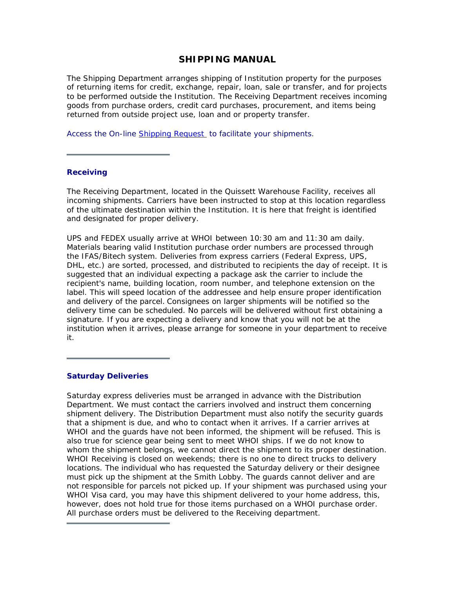### **SHIPPING MANUAL**

The Shipping Department arranges shipping of Institution property for the purposes of returning items for credit, exchange, repair, loan, sale or transfer, and for projects to be performed outside the Institution. The Receiving Department receives incoming goods from purchase orders, credit card purchases, procurement, and items being returned from outside project use, loan and or property transfer.

Access the On-line Shipping Request to facilitate your shipments.

#### **Receiving**

The Receiving Department, located in the Quissett Warehouse Facility, receives all incoming shipments. Carriers have been instructed to stop at this location regardless of the ultimate destination within the Institution. It is here that freight is identified and designated for proper delivery.

UPS and FEDEX usually arrive at WHOI between 10:30 am and 11:30 am daily. Materials bearing valid Institution purchase order numbers are processed through the IFAS/Bitech system. Deliveries from express carriers (Federal Express, UPS, DHL, etc.) are sorted, processed, and distributed to recipients the day of receipt. It is suggested that an individual expecting a package ask the carrier to include the recipient's name, building location, room number, and telephone extension on the label. This will speed location of the addressee and help ensure proper identification and delivery of the parcel. Consignees on larger shipments will be notified so the delivery time can be scheduled. No parcels will be delivered without first obtaining a signature. If you are expecting a delivery and know that you will not be at the institution when it arrives, please arrange for someone in your department to receive it.

#### **Saturday Deliveries**

Saturday express deliveries must be arranged in advance with the Distribution Department. We must contact the carriers involved and instruct them concerning shipment delivery. The Distribution Department must also notify the security guards that a shipment is due, and who to contact when it arrives. If a carrier arrives at WHOI and the guards have not been informed, the shipment will be refused. This is also true for science gear being sent to meet WHOI ships. If we do not know to whom the shipment belongs, we cannot direct the shipment to its proper destination. WHOI Receiving is closed on weekends; there is no one to direct trucks to delivery locations. The individual who has requested the Saturday delivery or their designee must pick up the shipment at the Smith Lobby. The guards cannot deliver and are not responsible for parcels not picked up. If your shipment was purchased using your WHOI Visa card, you may have this shipment delivered to your home address, this, however, does not hold true for those items purchased on a WHOI purchase order. All purchase orders must be delivered to the Receiving department.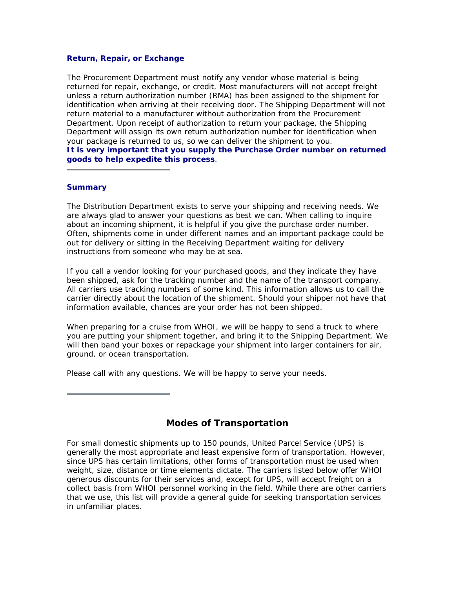#### **Return, Repair, or Exchange**

The Procurement Department must notify any vendor whose material is being returned for repair, exchange, or credit. Most manufacturers will not accept freight unless a return authorization number (RMA) has been assigned to the shipment for identification when arriving at their receiving door. The Shipping Department will not return material to a manufacturer without authorization from the Procurement Department. Upon receipt of authorization to return your package, the Shipping Department will assign its own return authorization number for identification when your package is returned to us, so we can deliver the shipment to you. *It is very important that you supply the Purchase Order number on returned goods to help expedite this process*.

#### **Summary**

The Distribution Department exists to serve your shipping and receiving needs. We are always glad to answer your questions as best we can. When calling to inquire about an incoming shipment, it is helpful if you give the purchase order number. Often, shipments come in under different names and an important package could be out for delivery or sitting in the Receiving Department waiting for delivery instructions from someone who may be at sea.

If you call a vendor looking for your purchased goods, and they indicate they have been shipped, ask for the tracking number and the name of the transport company. All carriers use tracking numbers of some kind. This information allows us to call the carrier directly about the location of the shipment. Should your shipper not have that information available, chances are your order has not been shipped.

When preparing for a cruise from WHOI, we will be happy to send a truck to where you are putting your shipment together, and bring it to the Shipping Department. We will then band your boxes or repackage your shipment into larger containers for air, ground, or ocean transportation.

Please call with any questions. We will be happy to serve your needs.

### **Modes of Transportation**

For small domestic shipments up to 150 pounds, United Parcel Service (UPS) is generally the most appropriate and least expensive form of transportation. However, since UPS has certain limitations, other forms of transportation must be used when weight, size, distance or time elements dictate. The carriers listed below offer WHOI generous discounts for their services and, except for UPS, will accept freight on a collect basis from WHOI personnel working in the field. While there are other carriers that we use, this list will provide a general guide for seeking transportation services in unfamiliar places.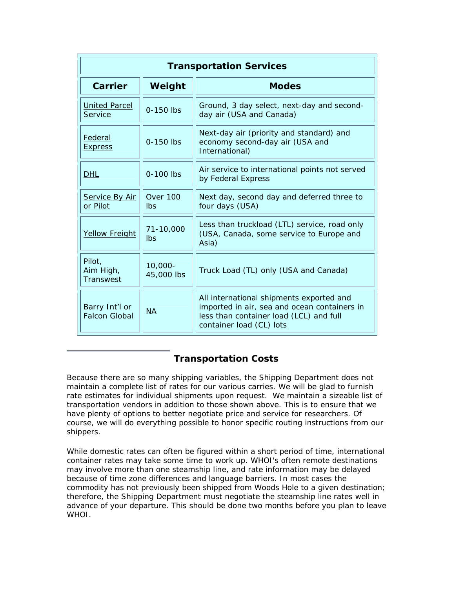| <b>Transportation Services</b>         |                          |                                                                                                                                                                 |
|----------------------------------------|--------------------------|-----------------------------------------------------------------------------------------------------------------------------------------------------------------|
| Carrier                                | Weight                   | <b>Modes</b>                                                                                                                                                    |
| <b>United Parcel</b><br>Service        | 0-150 lbs                | Ground, 3 day select, next-day and second-<br>day air (USA and Canada)                                                                                          |
| Federal<br><b>Express</b>              | 0-150 lbs                | Next-day air (priority and standard) and<br>economy second-day air (USA and<br>International)                                                                   |
| <b>DHL</b>                             | 0-100 lbs                | Air service to international points not served<br>by Federal Express                                                                                            |
| Service By Air<br>or Pilot             | Over 100<br><b>lbs</b>   | Next day, second day and deferred three to<br>four days (USA)                                                                                                   |
| <b>Yellow Freight</b>                  | 71-10,000<br>Ibs         | Less than truckload (LTL) service, road only<br>(USA, Canada, some service to Europe and<br>Asia)                                                               |
| Pilot,<br>Aim High,<br>Transwest       | $10,000 -$<br>45,000 lbs | Truck Load (TL) only (USA and Canada)                                                                                                                           |
| Barry Int'l or<br><b>Falcon Global</b> | <b>NA</b>                | All international shipments exported and<br>imported in air, sea and ocean containers in<br>less than container load (LCL) and full<br>container load (CL) lots |

# **Transportation Costs**

Because there are so many shipping variables, the Shipping Department does not maintain a complete list of rates for our various carries. We will be glad to furnish rate estimates for individual shipments upon request. We maintain a sizeable list of transportation vendors in addition to those shown above. This is to ensure that we have plenty of options to better negotiate price and service for researchers. Of course, we will do everything possible to honor specific routing instructions from our shippers.

While domestic rates can often be figured within a short period of time, international container rates may take some time to work up. WHOI's often remote destinations may involve more than one steamship line, and rate information may be delayed because of time zone differences and language barriers. In most cases the commodity has not previously been shipped from Woods Hole to a given destination; therefore, the Shipping Department must negotiate the steamship line rates well in advance of your departure. This should be done two months before you plan to leave WHOI.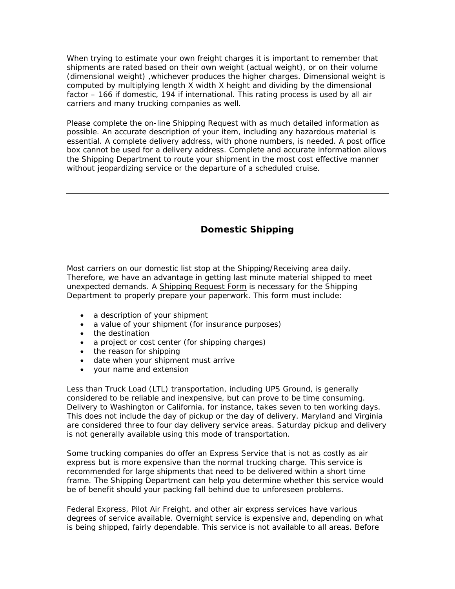When trying to estimate your own freight charges it is important to remember that shipments are rated based on their own weight (actual weight), or on their volume (dimensional weight) ,whichever produces the higher charges. Dimensional weight is computed by multiplying length X width X height and dividing by the dimensional factor – 166 if domestic, 194 if international. This rating process is used by all air carriers and many trucking companies as well.

Please complete the on-line Shipping Request with as much detailed information as possible. An accurate description of your item, including any hazardous material is essential. A complete delivery address, with phone numbers, is needed. A post office box cannot be used for a delivery address. Complete and accurate information allows the Shipping Department to route your shipment in the most cost effective manner without jeopardizing service or the departure of a scheduled cruise.

## **Domestic Shipping**

Most carriers on our domestic list stop at the Shipping/Receiving area daily. Therefore, we have an advantage in getting last minute material shipped to meet unexpected demands. A Shipping Request Form is necessary for the Shipping Department to properly prepare your paperwork. This form must include:

- a description of your shipment
- a value of your shipment (for insurance purposes)
- the destination
- a project or cost center (for shipping charges)
- the reason for shipping
- date when your shipment must arrive
- your name and extension

Less than Truck Load (LTL) transportation, including UPS Ground, is generally considered to be reliable and inexpensive, but can prove to be time consuming. Delivery to Washington or California, for instance, takes seven to ten working days. This does not include the day of pickup or the day of delivery. Maryland and Virginia are considered three to four day delivery service areas. Saturday pickup and delivery is not generally available using this mode of transportation.

Some trucking companies do offer an Express Service that is not as costly as air express but is more expensive than the normal trucking charge. This service is recommended for large shipments that need to be delivered within a short time frame. The Shipping Department can help you determine whether this service would be of benefit should your packing fall behind due to unforeseen problems.

Federal Express, Pilot Air Freight, and other air express services have various degrees of service available. Overnight service is expensive and, depending on what is being shipped, fairly dependable. This service is not available to all areas. Before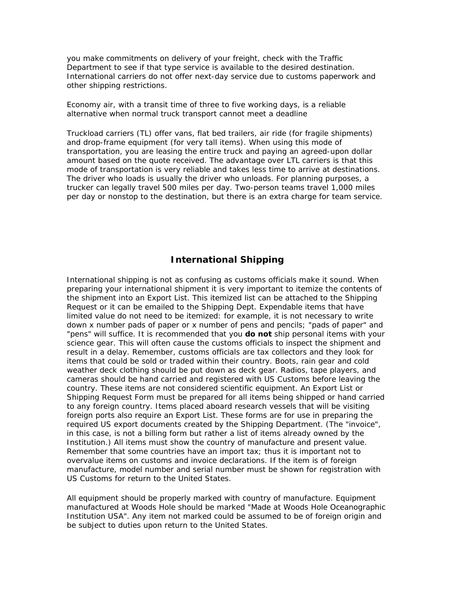you make commitments on delivery of your freight, check with the Traffic Department to see if that type service is available to the desired destination. International carriers do not offer next-day service due to customs paperwork and other shipping restrictions.

Economy air, with a transit time of three to five working days, is a reliable alternative when normal truck transport cannot meet a deadline

Truckload carriers (TL) offer vans, flat bed trailers, air ride (for fragile shipments) and drop-frame equipment (for very tall items). When using this mode of transportation, you are leasing the entire truck and paying an agreed-upon dollar amount based on the quote received. The advantage over LTL carriers is that this mode of transportation is very reliable and takes less time to arrive at destinations. The driver who loads is usually the driver who unloads. For planning purposes, a trucker can legally travel 500 miles per day. Two-person teams travel 1,000 miles per day or nonstop to the destination, but there is an extra charge for team service.

## **International Shipping**

International shipping is not as confusing as customs officials make it sound. When preparing your international shipment it is very important to itemize the contents of the shipment into an Export List. This itemized list can be attached to the Shipping Request or it can be emailed to the Shipping Dept. Expendable items that have limited value do not need to be itemized: for example, it is not necessary to write down x number pads of paper or x number of pens and pencils; "pads of paper" and "pens" will suffice. It is recommended that you *do not* ship personal items with your science gear. This will often cause the customs officials to inspect the shipment and result in a delay. Remember, customs officials are tax collectors and they look for items that could be sold or traded within their country. Boots, rain gear and cold weather deck clothing should be put down as deck gear. Radios, tape players, and cameras should be hand carried and registered with US Customs before leaving the country. These items are not considered scientific equipment. An Export List or Shipping Request Form must be prepared for all items being shipped or hand carried to any foreign country. Items placed aboard research vessels that will be visiting foreign ports also require an Export List. These forms are for use in preparing the required US export documents created by the Shipping Department. (The "invoice", in this case, is not a billing form but rather a list of items already owned by the Institution.) All items must show the country of manufacture and present value. Remember that some countries have an import tax; thus it is important not to overvalue items on customs and invoice declarations. If the item is of foreign manufacture, model number and serial number must be shown for registration with US Customs for return to the United States.

All equipment should be properly marked with country of manufacture. Equipment manufactured at Woods Hole should be marked "Made at Woods Hole Oceanographic Institution USA". Any item not marked could be assumed to be of foreign origin and be subject to duties upon return to the United States.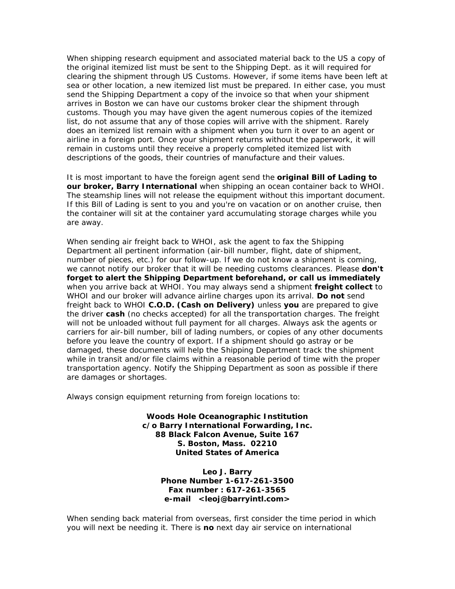When shipping research equipment and associated material back to the US a copy of the original itemized list must be sent to the Shipping Dept. as it will required for clearing the shipment through US Customs. However, if some items have been left at sea or other location, a new itemized list must be prepared. In either case, you must send the Shipping Department a copy of the invoice so that when your shipment arrives in Boston we can have our customs broker clear the shipment through customs. Though you may have given the agent numerous copies of the itemized list, do not assume that any of those copies will arrive with the shipment. Rarely does an itemized list remain with a shipment when you turn it over to an agent or airline in a foreign port. Once your shipment returns without the paperwork, it will remain in customs until they receive a properly completed itemized list with descriptions of the goods, their countries of manufacture and their values.

It is most important to have the foreign agent send the *original Bill of Lading to our broker, Barry International* when shipping an ocean container back to WHOI. The steamship lines will not release the equipment without this important document. If this Bill of Lading is sent to you and you're on vacation or on another cruise, then the container will sit at the container yard accumulating storage charges while you are away.

When sending air freight back to WHOI, ask the agent to fax the Shipping Department all pertinent information (air-bill number, flight, date of shipment, number of pieces, etc.) for our follow-up. If we do not know a shipment is coming, we cannot notify our broker that it will be needing customs clearances. Please *don't forget to alert the Shipping Department beforehand, or call us immediately* when you arrive back at WHOI. You may always send a shipment *freight collect* to WHOI and our broker will advance airline charges upon its arrival. *Do not* send freight back to WHOI *C.O.D. (Cash on Delivery)* unless *you* are prepared to give the driver *cash* (no checks accepted) for all the transportation charges. The freight will not be unloaded without full payment for all charges. Always ask the agents or carriers for air-bill number, bill of lading numbers, or copies of any other documents before you leave the country of export. If a shipment should go astray or be damaged, these documents will help the Shipping Department track the shipment while in transit and/or file claims within a reasonable period of time with the proper transportation agency. Notify the Shipping Department as soon as possible if there are damages or shortages.

Always consign equipment returning from foreign locations to:

**Woods Hole Oceanographic Institution c/o Barry International Forwarding, Inc. 88 Black Falcon Avenue, Suite 167 S. Boston, Mass. 02210 United States of America**

> **Leo J. Barry Phone Number 1-617-261-3500 Fax number : 617-261-3565 e-mail <leoj@barryintl.com>**

When sending back material from overseas, first consider the time period in which you will next be needing it. There is *no* next day air service on international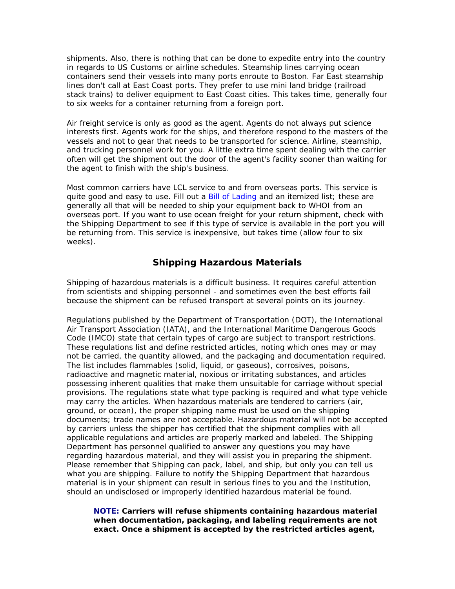shipments. Also, there is nothing that can be done to expedite entry into the country in regards to US Customs or airline schedules. Steamship lines carrying ocean containers send their vessels into many ports enroute to Boston. Far East steamship lines don't call at East Coast ports. They prefer to use mini land bridge (railroad stack trains) to deliver equipment to East Coast cities. This takes time, generally four to six weeks for a container returning from a foreign port.

Air freight service is only as good as the agent. Agents do not always put science interests first. Agents work for the ships, and therefore respond to the masters of the vessels and not to gear that needs to be transported for science. Airline, steamship, and trucking personnel work for you. A little extra time spent dealing with the carrier often will get the shipment out the door of the agent's facility sooner than waiting for the agent to finish with the ship's business.

Most common carriers have LCL service to and from overseas ports. This service is quite good and easy to use. Fill out a **Bill of Lading** and an itemized list; these are generally all that will be needed to ship your equipment back to WHOI from an overseas port. If you want to use ocean freight for your return shipment, check with the Shipping Department to see if this type of service is available in the port you will be returning from. This service is inexpensive, but takes time (allow four to six weeks).

## **Shipping Hazardous Materials**

Shipping of hazardous materials is a difficult business. It requires careful attention from scientists and shipping personnel - and sometimes even the best efforts fail because the shipment can be refused transport at several points on its journey.

Regulations published by the Department of Transportation (DOT), the International Air Transport Association (IATA), and the International Maritime Dangerous Goods Code (IMCO) state that certain types of cargo are subject to transport restrictions. These regulations list and define restricted articles, noting which ones may or may not be carried, the quantity allowed, and the packaging and documentation required. The list includes flammables (solid, liquid, or gaseous), corrosives, poisons, radioactive and magnetic material, noxious or irritating substances, and articles possessing inherent qualities that make them unsuitable for carriage without special provisions. The regulations state what type packing is required and what type vehicle may carry the articles. When hazardous materials are tendered to carriers (air, ground, or ocean), the proper shipping name must be used on the shipping documents; trade names are not acceptable. Hazardous material will not be accepted by carriers unless the shipper has certified that the shipment complies with all applicable regulations and articles are properly marked and labeled. The Shipping Department has personnel qualified to answer any questions you may have regarding hazardous material, and they will assist you in preparing the shipment. Please remember that Shipping can pack, label, and ship, but only you can tell us what you are shipping. Failure to notify the Shipping Department that hazardous material is in your shipment can result in serious fines to you and the Institution, should an undisclosed or improperly identified hazardous material be found.

**NOTE: Carriers will refuse shipments containing hazardous material when documentation, packaging, and labeling requirements are** *not exact***. Once a shipment is accepted by the restricted articles agent,**